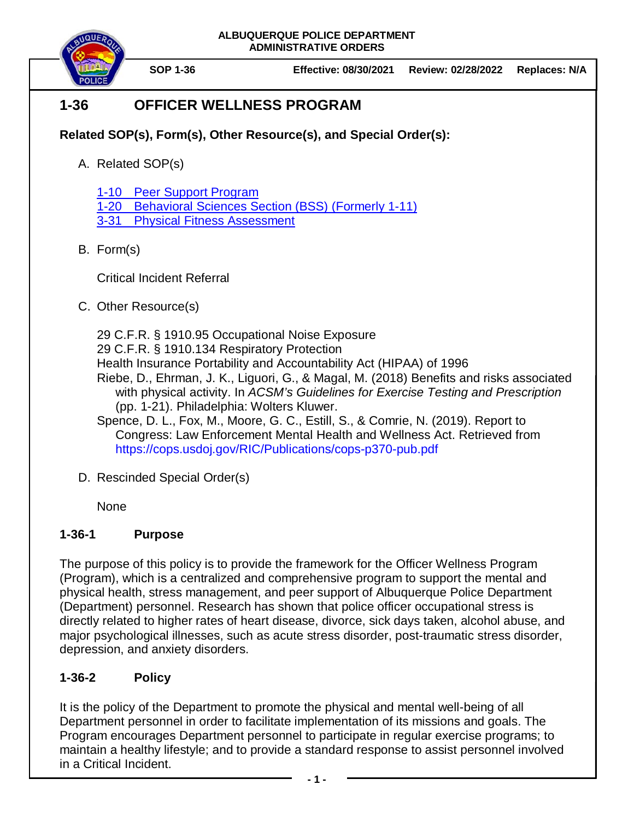

**SOP 1-36 Effective: 08/30/2021 Review: 02/28/2022 Replaces: N/A**

# **1-36 OFFICER WELLNESS PROGRAM**

- **Related SOP(s), Form(s), Other Resource(s), and Special Order(s):**
	- A. Related SOP(s)

[1-10 Peer Support Program](https://powerdms.com/docs/759451)

[1-20 Behavioral Sciences Section](https://powerdms.com/docs/38) (BSS) (Formerly 1-11)

3-31 [Physical Fitness Assessment](https://powerdms.com/docs/224)

B. Form(s)

Critical Incident Referral

C. Other Resource(s)

29 C.F.R. § 1910.95 Occupational Noise Exposure 29 C.F.R. § 1910.134 Respiratory Protection

- Health Insurance Portability and Accountability Act (HIPAA) of 1996
- Riebe, D., Ehrman, J. K., Liguori, G., & Magal, M. (2018) Benefits and risks associated with physical activity. In *ACSM's Guidelines for Exercise Testing and Prescription*  (pp. 1-21). Philadelphia: Wolters Kluwer.
- Spence, D. L., Fox, M., Moore, G. C., Estill, S., & Comrie, N. (2019). Report to Congress: Law Enforcement Mental Health and Wellness Act. Retrieved from <https://cops.usdoj.gov/RIC/Publications/cops-p370-pub.pdf>
- D. Rescinded Special Order(s)

None

# **1-36-1 Purpose**

The purpose of this policy is to provide the framework for the Officer Wellness Program (Program), which is a centralized and comprehensive program to support the mental and physical health, stress management, and peer support of Albuquerque Police Department (Department) personnel. Research has shown that police officer occupational stress is directly related to higher rates of heart disease, divorce, sick days taken, alcohol abuse, and major psychological illnesses, such as acute stress disorder, post-traumatic stress disorder, depression, and anxiety disorders.

# **1-36-2 Policy**

It is the policy of the Department to promote the physical and mental well-being of all Department personnel in order to facilitate implementation of its missions and goals. The Program encourages Department personnel to participate in regular exercise programs; to maintain a healthy lifestyle; and to provide a standard response to assist personnel involved in a Critical Incident.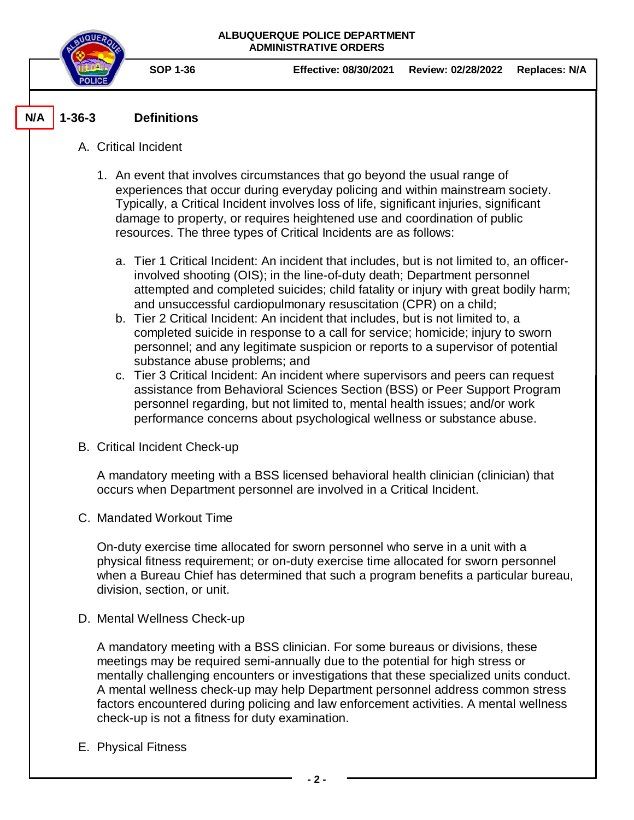

**SOP 1-36 Effective: 08/30/2021 Review: 02/28/2022 Replaces: N/A**

#### **1-36-3 Definitions N/A**

## A. Critical Incident

- 1. An event that involves circumstances that go beyond the usual range of experiences that occur during everyday policing and within mainstream society. Typically, a Critical Incident involves loss of life, significant injuries, significant damage to property, or requires heightened use and coordination of public resources. The three types of Critical Incidents are as follows:
	- a. Tier 1 Critical Incident: An incident that includes, but is not limited to, an officerinvolved shooting (OIS); in the line-of-duty death; Department personnel attempted and completed suicides; child fatality or injury with great bodily harm; and unsuccessful cardiopulmonary resuscitation (CPR) on a child;
	- b. Tier 2 Critical Incident: An incident that includes, but is not limited to, a completed suicide in response to a call for service; homicide; injury to sworn personnel; and any legitimate suspicion or reports to a supervisor of potential substance abuse problems; and
	- c. Tier 3 Critical Incident: An incident where supervisors and peers can request assistance from Behavioral Sciences Section (BSS) or Peer Support Program personnel regarding, but not limited to, mental health issues; and/or work performance concerns about psychological wellness or substance abuse.
- B. Critical Incident Check-up

A mandatory meeting with a BSS licensed behavioral health clinician (clinician) that occurs when Department personnel are involved in a Critical Incident.

C. Mandated Workout Time

On-duty exercise time allocated for sworn personnel who serve in a unit with a physical fitness requirement; or on-duty exercise time allocated for sworn personnel when a Bureau Chief has determined that such a program benefits a particular bureau, division, section, or unit.

D. Mental Wellness Check-up

A mandatory meeting with a BSS clinician. For some bureaus or divisions, these meetings may be required semi-annually due to the potential for high stress or mentally challenging encounters or investigations that these specialized units conduct. A mental wellness check-up may help Department personnel address common stress factors encountered during policing and law enforcement activities. A mental wellness check-up is not a fitness for duty examination.

E. Physical Fitness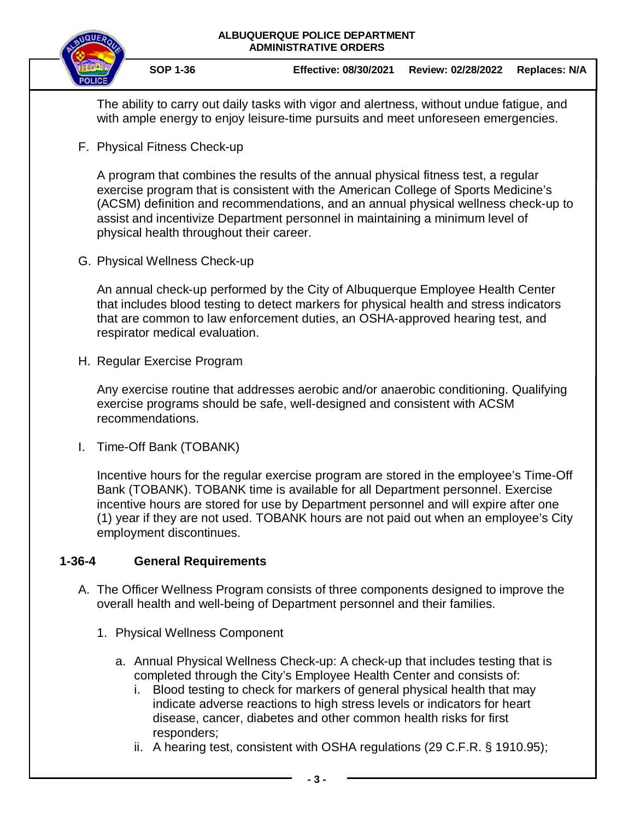

The ability to carry out daily tasks with vigor and alertness, without undue fatigue, and with ample energy to enjoy leisure-time pursuits and meet unforeseen emergencies.

F. Physical Fitness Check-up

A program that combines the results of the annual physical fitness test, a regular exercise program that is consistent with the American College of Sports Medicine's (ACSM) definition and recommendations, and an annual physical wellness check-up to assist and incentivize Department personnel in maintaining a minimum level of physical health throughout their career.

G. Physical Wellness Check-up

An annual check-up performed by the City of Albuquerque Employee Health Center that includes blood testing to detect markers for physical health and stress indicators that are common to law enforcement duties, an OSHA-approved hearing test, and respirator medical evaluation.

H. Regular Exercise Program

Any exercise routine that addresses aerobic and/or anaerobic conditioning. Qualifying exercise programs should be safe, well-designed and consistent with ACSM recommendations.

I. Time-Off Bank (TOBANK)

Incentive hours for the regular exercise program are stored in the employee's Time-Off Bank (TOBANK). TOBANK time is available for all Department personnel. Exercise incentive hours are stored for use by Department personnel and will expire after one (1) year if they are not used. TOBANK hours are not paid out when an employee's City employment discontinues.

# **1-36-4 General Requirements**

- A. The Officer Wellness Program consists of three components designed to improve the overall health and well-being of Department personnel and their families.
	- 1. Physical Wellness Component
		- a. Annual Physical Wellness Check-up: A check-up that includes testing that is completed through the City's Employee Health Center and consists of:
			- i. Blood testing to check for markers of general physical health that may indicate adverse reactions to high stress levels or indicators for heart disease, cancer, diabetes and other common health risks for first responders;
			- ii. A hearing test, consistent with OSHA regulations (29 C.F.R. § 1910.95);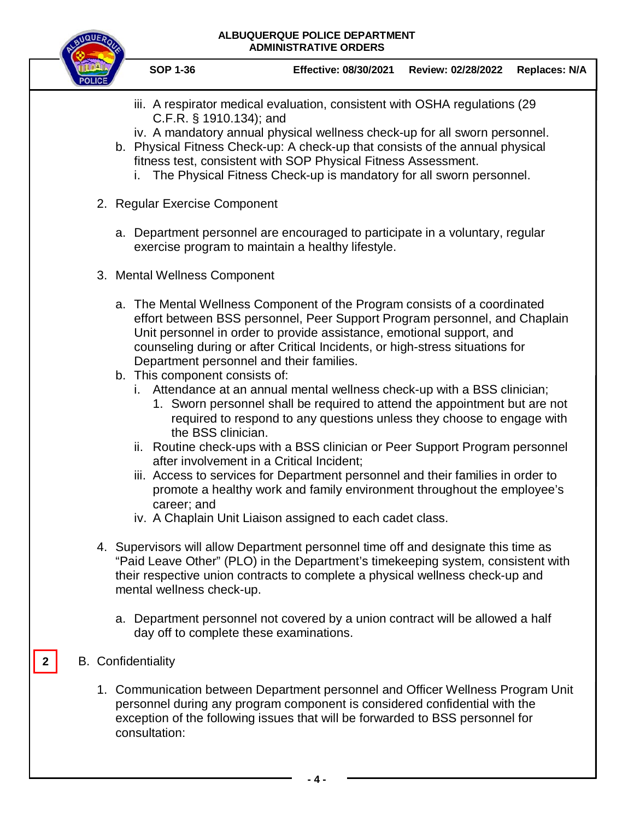

**SOP 1-36 Effective: 08/30/2021 Review: 02/28/2022 Replaces: N/A**

- iii. A respirator medical evaluation, consistent with OSHA regulations (29 C.F.R. § 1910.134); and
- iv. A mandatory annual physical wellness check-up for all sworn personnel.
- b. Physical Fitness Check-up: A check-up that consists of the annual physical fitness test, consistent with SOP Physical Fitness Assessment.
	- i. The Physical Fitness Check-up is mandatory for all sworn personnel.
- 2. Regular Exercise Component
	- a. Department personnel are encouraged to participate in a voluntary, regular exercise program to maintain a healthy lifestyle.
- 3. Mental Wellness Component
	- a. The Mental Wellness Component of the Program consists of a coordinated effort between BSS personnel, Peer Support Program personnel, and Chaplain Unit personnel in order to provide assistance, emotional support, and counseling during or after Critical Incidents, or high-stress situations for Department personnel and their families.
	- b. This component consists of:
		- i. Attendance at an annual mental wellness check-up with a BSS clinician;
			- 1. Sworn personnel shall be required to attend the appointment but are not required to respond to any questions unless they choose to engage with the BSS clinician.
		- ii. Routine check-ups with a BSS clinician or Peer Support Program personnel after involvement in a Critical Incident;
		- iii. Access to services for Department personnel and their families in order to promote a healthy work and family environment throughout the employee's career; and
		- iv. A Chaplain Unit Liaison assigned to each cadet class.
- 4. Supervisors will allow Department personnel time off and designate this time as "Paid Leave Other" (PLO) in the Department's timekeeping system, consistent with their respective union contracts to complete a physical wellness check-up and mental wellness check-up.
	- a. Department personnel not covered by a union contract will be allowed a half day off to complete these examinations.
- B. Confidentiality

**2**

1. Communication between Department personnel and Officer Wellness Program Unit personnel during any program component is considered confidential with the exception of the following issues that will be forwarded to BSS personnel for consultation:

**- 4 -**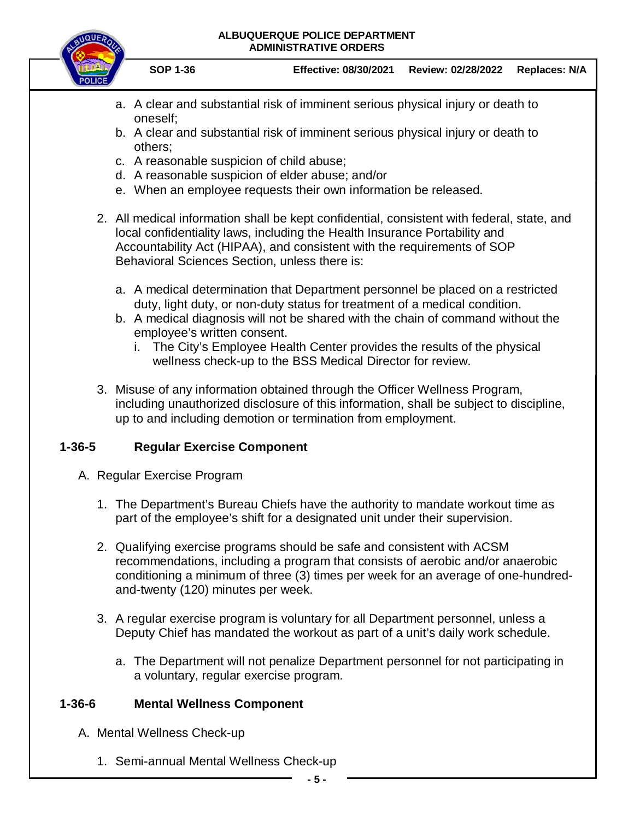

**SOP 1-36 Effective: 08/30/2021 Review: 02/28/2022 Replaces: N/A**

- a. A clear and substantial risk of imminent serious physical injury or death to oneself;
- b. A clear and substantial risk of imminent serious physical injury or death to others;
- c. A reasonable suspicion of child abuse;
- d. A reasonable suspicion of elder abuse; and/or
- e. When an employee requests their own information be released.
- 2. All medical information shall be kept confidential, consistent with federal, state, and local confidentiality laws, including the Health Insurance Portability and Accountability Act (HIPAA), and consistent with the requirements of SOP Behavioral Sciences Section, unless there is:
	- a. A medical determination that Department personnel be placed on a restricted duty, light duty, or non-duty status for treatment of a medical condition.
	- b. A medical diagnosis will not be shared with the chain of command without the employee's written consent.
		- i. The City's Employee Health Center provides the results of the physical wellness check-up to the BSS Medical Director for review.
- 3. Misuse of any information obtained through the Officer Wellness Program, including unauthorized disclosure of this information, shall be subject to discipline, up to and including demotion or termination from employment.

# **1-36-5 Regular Exercise Component**

- A. Regular Exercise Program
	- 1. The Department's Bureau Chiefs have the authority to mandate workout time as part of the employee's shift for a designated unit under their supervision.
	- 2. Qualifying exercise programs should be safe and consistent with ACSM recommendations, including a program that consists of aerobic and/or anaerobic conditioning a minimum of three (3) times per week for an average of one-hundredand-twenty (120) minutes per week.
	- 3. A regular exercise program is voluntary for all Department personnel, unless a Deputy Chief has mandated the workout as part of a unit's daily work schedule.
		- a. The Department will not penalize Department personnel for not participating in a voluntary, regular exercise program.

# **1-36-6 Mental Wellness Component**

- A. Mental Wellness Check-up
	- 1. Semi-annual Mental Wellness Check-up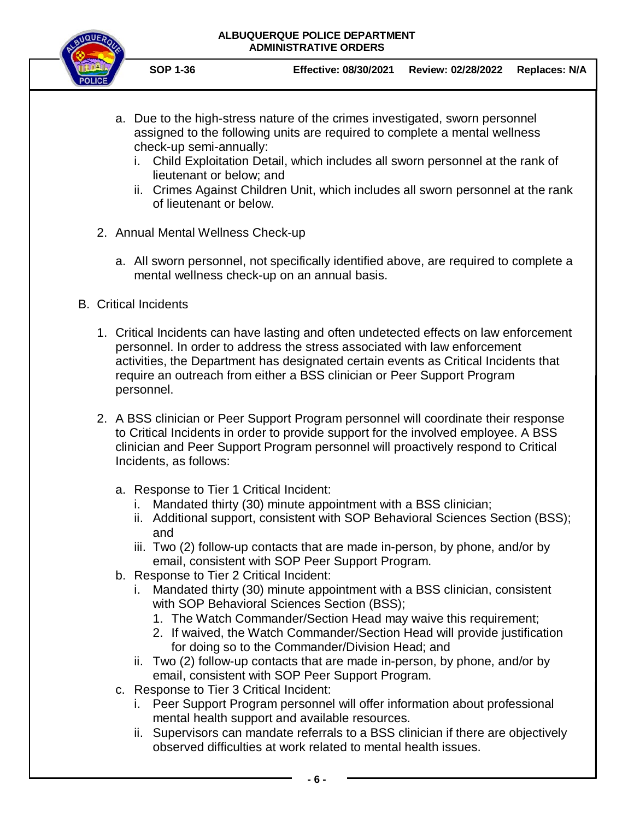

**SOP 1-36 Effective: 08/30/2021 Review: 02/28/2022 Replaces: N/A**

- a. Due to the high-stress nature of the crimes investigated, sworn personnel assigned to the following units are required to complete a mental wellness check-up semi-annually:
	- i. Child Exploitation Detail, which includes all sworn personnel at the rank of lieutenant or below; and
	- ii. Crimes Against Children Unit, which includes all sworn personnel at the rank of lieutenant or below.
- 2. Annual Mental Wellness Check-up
	- a. All sworn personnel, not specifically identified above, are required to complete a mental wellness check-up on an annual basis.
- B. Critical Incidents
	- 1. Critical Incidents can have lasting and often undetected effects on law enforcement personnel. In order to address the stress associated with law enforcement activities, the Department has designated certain events as Critical Incidents that require an outreach from either a BSS clinician or Peer Support Program personnel.
	- 2. A BSS clinician or Peer Support Program personnel will coordinate their response to Critical Incidents in order to provide support for the involved employee. A BSS clinician and Peer Support Program personnel will proactively respond to Critical Incidents, as follows:
		- a. Response to Tier 1 Critical Incident:
			- i. Mandated thirty (30) minute appointment with a BSS clinician;
			- ii. Additional support, consistent with SOP Behavioral Sciences Section (BSS); and
			- iii. Two (2) follow-up contacts that are made in-person, by phone, and/or by email, consistent with SOP Peer Support Program.
		- b. Response to Tier 2 Critical Incident:
			- i. Mandated thirty (30) minute appointment with a BSS clinician, consistent with SOP Behavioral Sciences Section (BSS);
				- 1. The Watch Commander/Section Head may waive this requirement;
				- 2. If waived, the Watch Commander/Section Head will provide justification for doing so to the Commander/Division Head; and
			- ii. Two (2) follow-up contacts that are made in-person, by phone, and/or by email, consistent with SOP Peer Support Program.
		- c. Response to Tier 3 Critical Incident:
			- i. Peer Support Program personnel will offer information about professional mental health support and available resources.
			- ii. Supervisors can mandate referrals to a BSS clinician if there are objectively observed difficulties at work related to mental health issues.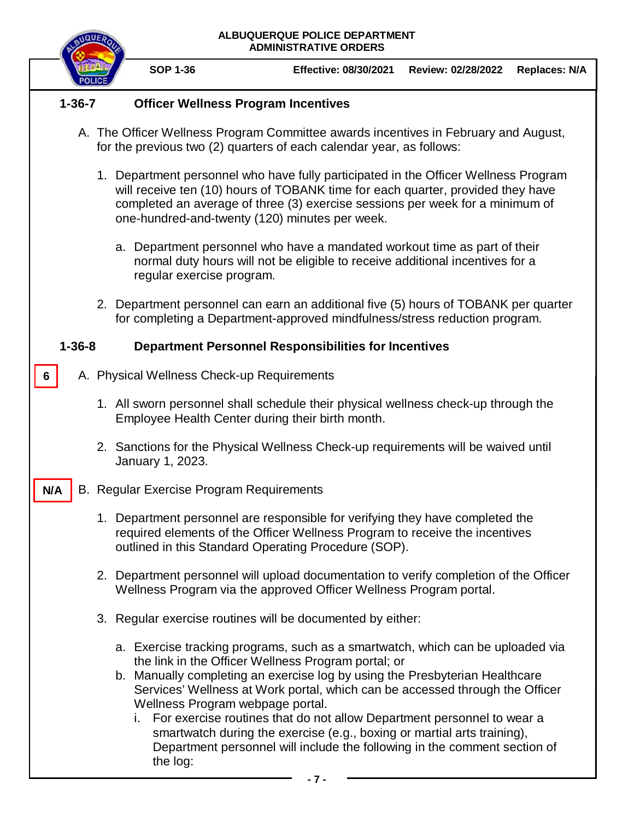|              |              |  |                                                                                                                                                                                                                      | ALBUQUERQUE POLICE DEPARTMENT<br><b>ADMINISTRATIVE ORDERS</b>                                                                                                                                                                                                                                                                                                                                                                                                                                                                             |                                                                                                                                                                                                                                                         |                      |  |  |  |  |
|--------------|--------------|--|----------------------------------------------------------------------------------------------------------------------------------------------------------------------------------------------------------------------|-------------------------------------------------------------------------------------------------------------------------------------------------------------------------------------------------------------------------------------------------------------------------------------------------------------------------------------------------------------------------------------------------------------------------------------------------------------------------------------------------------------------------------------------|---------------------------------------------------------------------------------------------------------------------------------------------------------------------------------------------------------------------------------------------------------|----------------------|--|--|--|--|
|              |              |  | <b>SOP 1-36</b>                                                                                                                                                                                                      | <b>Effective: 08/30/2021</b>                                                                                                                                                                                                                                                                                                                                                                                                                                                                                                              | Review: 02/28/2022                                                                                                                                                                                                                                      | <b>Replaces: N/A</b> |  |  |  |  |
| $1 - 36 - 7$ |              |  |                                                                                                                                                                                                                      | <b>Officer Wellness Program Incentives</b>                                                                                                                                                                                                                                                                                                                                                                                                                                                                                                |                                                                                                                                                                                                                                                         |                      |  |  |  |  |
|              |              |  |                                                                                                                                                                                                                      | A. The Officer Wellness Program Committee awards incentives in February and August,<br>for the previous two (2) quarters of each calendar year, as follows:                                                                                                                                                                                                                                                                                                                                                                               |                                                                                                                                                                                                                                                         |                      |  |  |  |  |
|              |              |  |                                                                                                                                                                                                                      | one-hundred-and-twenty (120) minutes per week.                                                                                                                                                                                                                                                                                                                                                                                                                                                                                            | 1. Department personnel who have fully participated in the Officer Wellness Program<br>will receive ten (10) hours of TOBANK time for each quarter, provided they have<br>completed an average of three (3) exercise sessions per week for a minimum of |                      |  |  |  |  |
|              |              |  | regular exercise program.                                                                                                                                                                                            | a. Department personnel who have a mandated workout time as part of their<br>normal duty hours will not be eligible to receive additional incentives for a                                                                                                                                                                                                                                                                                                                                                                                |                                                                                                                                                                                                                                                         |                      |  |  |  |  |
|              |              |  |                                                                                                                                                                                                                      | 2. Department personnel can earn an additional five (5) hours of TOBANK per quarter<br>for completing a Department-approved mindfulness/stress reduction program.                                                                                                                                                                                                                                                                                                                                                                         |                                                                                                                                                                                                                                                         |                      |  |  |  |  |
|              | $1 - 36 - 8$ |  | <b>Department Personnel Responsibilities for Incentives</b>                                                                                                                                                          |                                                                                                                                                                                                                                                                                                                                                                                                                                                                                                                                           |                                                                                                                                                                                                                                                         |                      |  |  |  |  |
| 6            |              |  |                                                                                                                                                                                                                      | A. Physical Wellness Check-up Requirements                                                                                                                                                                                                                                                                                                                                                                                                                                                                                                |                                                                                                                                                                                                                                                         |                      |  |  |  |  |
|              |              |  |                                                                                                                                                                                                                      | 1. All sworn personnel shall schedule their physical wellness check-up through the<br>Employee Health Center during their birth month.                                                                                                                                                                                                                                                                                                                                                                                                    |                                                                                                                                                                                                                                                         |                      |  |  |  |  |
|              |              |  | January 1, 2023.                                                                                                                                                                                                     | 2. Sanctions for the Physical Wellness Check-up requirements will be waived until                                                                                                                                                                                                                                                                                                                                                                                                                                                         |                                                                                                                                                                                                                                                         |                      |  |  |  |  |
| N/A          | В.           |  | Regular Exercise Program Requirements                                                                                                                                                                                |                                                                                                                                                                                                                                                                                                                                                                                                                                                                                                                                           |                                                                                                                                                                                                                                                         |                      |  |  |  |  |
|              |              |  | 1. Department personnel are responsible for verifying they have completed the<br>required elements of the Officer Wellness Program to receive the incentives<br>outlined in this Standard Operating Procedure (SOP). |                                                                                                                                                                                                                                                                                                                                                                                                                                                                                                                                           |                                                                                                                                                                                                                                                         |                      |  |  |  |  |
|              |              |  |                                                                                                                                                                                                                      | 2. Department personnel will upload documentation to verify completion of the Officer<br>Wellness Program via the approved Officer Wellness Program portal.                                                                                                                                                                                                                                                                                                                                                                               |                                                                                                                                                                                                                                                         |                      |  |  |  |  |
|              |              |  |                                                                                                                                                                                                                      | 3. Regular exercise routines will be documented by either:                                                                                                                                                                                                                                                                                                                                                                                                                                                                                |                                                                                                                                                                                                                                                         |                      |  |  |  |  |
|              |              |  | Wellness Program webpage portal.<br>the log:                                                                                                                                                                         | a. Exercise tracking programs, such as a smartwatch, which can be uploaded via<br>the link in the Officer Wellness Program portal; or<br>b. Manually completing an exercise log by using the Presbyterian Healthcare<br>Services' Wellness at Work portal, which can be accessed through the Officer<br>i. For exercise routines that do not allow Department personnel to wear a<br>smartwatch during the exercise (e.g., boxing or martial arts training),<br>Department personnel will include the following in the comment section of |                                                                                                                                                                                                                                                         |                      |  |  |  |  |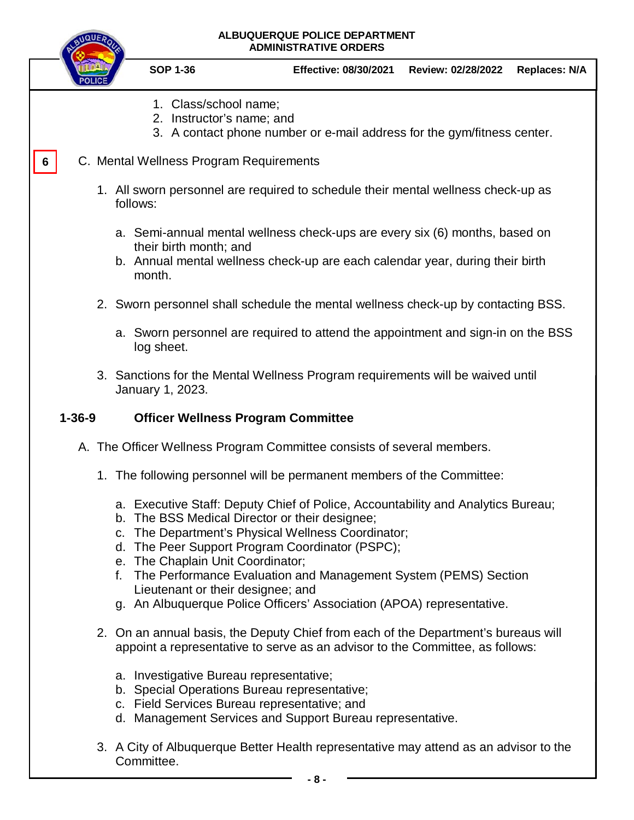|              |                                                                                                                                                                                                  | ALBUQUERQUE POLICE DEPARTMENT<br><b>ADMINISTRATIVE ORDERS</b>                                                                                                                                                                                                                                                                                                                                                                                                        |                                                                         |                    |                      |  |  |  |
|--------------|--------------------------------------------------------------------------------------------------------------------------------------------------------------------------------------------------|----------------------------------------------------------------------------------------------------------------------------------------------------------------------------------------------------------------------------------------------------------------------------------------------------------------------------------------------------------------------------------------------------------------------------------------------------------------------|-------------------------------------------------------------------------|--------------------|----------------------|--|--|--|
|              |                                                                                                                                                                                                  | <b>SOP 1-36</b>                                                                                                                                                                                                                                                                                                                                                                                                                                                      | <b>Effective: 08/30/2021</b>                                            | Review: 02/28/2022 | <b>Replaces: N/A</b> |  |  |  |
|              |                                                                                                                                                                                                  | 1. Class/school name;<br>2. Instructor's name; and                                                                                                                                                                                                                                                                                                                                                                                                                   | 3. A contact phone number or e-mail address for the gym/fitness center. |                    |                      |  |  |  |
| 6.           | C. Mental Wellness Program Requirements<br>1. All sworn personnel are required to schedule their mental wellness check-up as<br>follows:                                                         |                                                                                                                                                                                                                                                                                                                                                                                                                                                                      |                                                                         |                    |                      |  |  |  |
|              | a. Semi-annual mental wellness check-ups are every six (6) months, based on<br>their birth month; and<br>b. Annual mental wellness check-up are each calendar year, during their birth<br>month. |                                                                                                                                                                                                                                                                                                                                                                                                                                                                      |                                                                         |                    |                      |  |  |  |
|              | 2. Sworn personnel shall schedule the mental wellness check-up by contacting BSS.                                                                                                                |                                                                                                                                                                                                                                                                                                                                                                                                                                                                      |                                                                         |                    |                      |  |  |  |
|              | a. Sworn personnel are required to attend the appointment and sign-in on the BSS<br>log sheet.                                                                                                   |                                                                                                                                                                                                                                                                                                                                                                                                                                                                      |                                                                         |                    |                      |  |  |  |
|              | 3. Sanctions for the Mental Wellness Program requirements will be waived until<br>January 1, 2023.                                                                                               |                                                                                                                                                                                                                                                                                                                                                                                                                                                                      |                                                                         |                    |                      |  |  |  |
| $1 - 36 - 9$ |                                                                                                                                                                                                  |                                                                                                                                                                                                                                                                                                                                                                                                                                                                      | <b>Officer Wellness Program Committee</b>                               |                    |                      |  |  |  |
|              | A. The Officer Wellness Program Committee consists of several members.                                                                                                                           |                                                                                                                                                                                                                                                                                                                                                                                                                                                                      |                                                                         |                    |                      |  |  |  |
|              |                                                                                                                                                                                                  |                                                                                                                                                                                                                                                                                                                                                                                                                                                                      | 1. The following personnel will be permanent members of the Committee:  |                    |                      |  |  |  |
|              |                                                                                                                                                                                                  | a. Executive Staff: Deputy Chief of Police, Accountability and Analytics Bureau;<br>b. The BSS Medical Director or their designee;<br>c. The Department's Physical Wellness Coordinator;<br>d. The Peer Support Program Coordinator (PSPC);<br>e. The Chaplain Unit Coordinator;<br>f. The Performance Evaluation and Management System (PEMS) Section<br>Lieutenant or their designee; and<br>g. An Albuquerque Police Officers' Association (APOA) representative. |                                                                         |                    |                      |  |  |  |
|              | 2. On an annual basis, the Deputy Chief from each of the Department's bureaus will<br>appoint a representative to serve as an advisor to the Committee, as follows:                              |                                                                                                                                                                                                                                                                                                                                                                                                                                                                      |                                                                         |                    |                      |  |  |  |
|              |                                                                                                                                                                                                  | a. Investigative Bureau representative;<br>b. Special Operations Bureau representative;<br>c. Field Services Bureau representative; and<br>d. Management Services and Support Bureau representative.                                                                                                                                                                                                                                                                 |                                                                         |                    |                      |  |  |  |
|              |                                                                                                                                                                                                  |                                                                                                                                                                                                                                                                                                                                                                                                                                                                      | of Albuquerque Detter Health representative move attend en an advisor t |                    |                      |  |  |  |

3. A City of Albuquerque Better Health representative may attend as an advisor to the Committee.